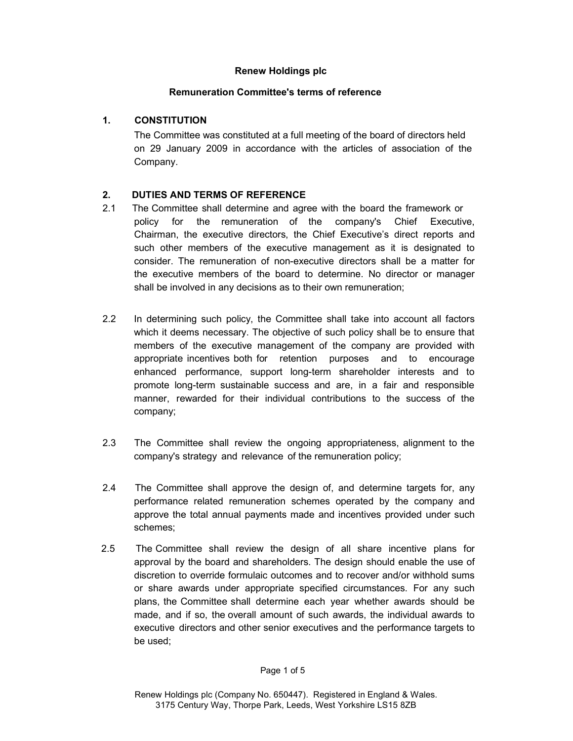#### Renew Holdings plc

## Remuneration Committee's terms of reference

# 1. CONSTITUTION

The Committee was constituted at a full meeting of the board of directors held on 29 January 2009 in accordance with the articles of association of the Company.

# 2. DUTIES AND TERMS OF REFERENCE

- 2.1 The Committee shall determine and agree with the board the framework or policy for the remuneration of the company's Chief Executive, Chairman, the executive directors, the Chief Executive's direct reports and such other members of the executive management as it is designated to consider. The remuneration of non-executive directors shall be a matter for the executive members of the board to determine. No director or manager shall be involved in any decisions as to their own remuneration;
- 2.2 In determining such policy, the Committee shall take into account all factors which it deems necessary. The objective of such policy shall be to ensure that members of the executive management of the company are provided with appropriate incentives both for retention purposes and to encourage enhanced performance, support long-term shareholder interests and to promote long-term sustainable success and are, in a fair and responsible manner, rewarded for their individual contributions to the success of the company;
- 2.3 The Committee shall review the ongoing appropriateness, alignment to the company's strategy and relevance of the remuneration policy;
- 2.4 The Committee shall approve the design of, and determine targets for, any performance related remuneration schemes operated by the company and approve the total annual payments made and incentives provided under such schemes;
- 2.5 The Committee shall review the design of all share incentive plans for approval by the board and shareholders. The design should enable the use of discretion to override formulaic outcomes and to recover and/or withhold sums or share awards under appropriate specified circumstances. For any such plans, the Committee shall determine each year whether awards should be made, and if so, the overall amount of such awards, the individual awards to executive directors and other senior executives and the performance targets to be used;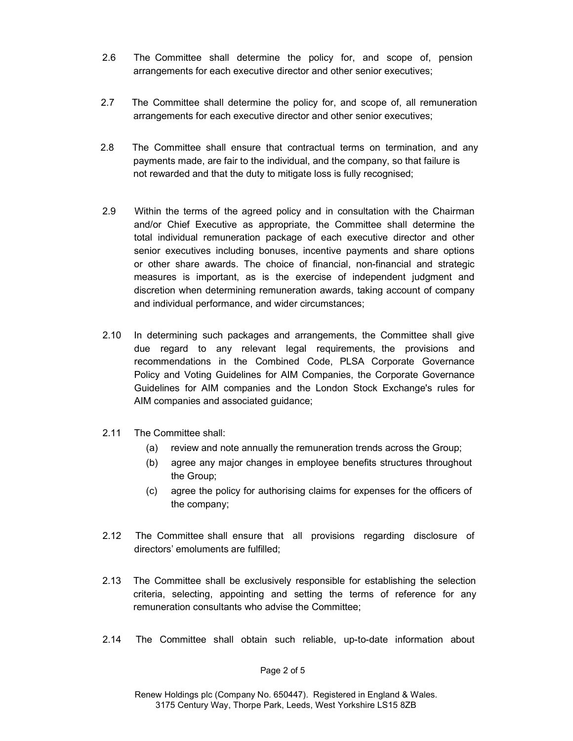- 2.6 The Committee shall determine the policy for, and scope of, pension arrangements for each executive director and other senior executives;
- 2.7 The Committee shall determine the policy for, and scope of, all remuneration arrangements for each executive director and other senior executives;
- 2.8 The Committee shall ensure that contractual terms on termination, and any payments made, are fair to the individual, and the company, so that failure is not rewarded and that the duty to mitigate loss is fully recognised;
- 2.9 Within the terms of the agreed policy and in consultation with the Chairman and/or Chief Executive as appropriate, the Committee shall determine the total individual remuneration package of each executive director and other senior executives including bonuses, incentive payments and share options or other share awards. The choice of financial, non-financial and strategic measures is important, as is the exercise of independent judgment and discretion when determining remuneration awards, taking account of company and individual performance, and wider circumstances;
- 2.10 In determining such packages and arrangements, the Committee shall give due regard to any relevant legal requirements, the provisions and recommendations in the Combined Code, PLSA Corporate Governance Policy and Voting Guidelines for AIM Companies, the Corporate Governance Guidelines for AIM companies and the London Stock Exchange's rules for AIM companies and associated guidance;
- 2.11 The Committee shall:
	- (a) review and note annually the remuneration trends across the Group;
	- (b) agree any major changes in employee benefits structures throughout the Group;
	- (c) agree the policy for authorising claims for expenses for the officers of the company;
- 2.12 The Committee shall ensure that all provisions regarding disclosure of directors' emoluments are fulfilled;
- 2.13 The Committee shall be exclusively responsible for establishing the selection criteria, selecting, appointing and setting the terms of reference for any remuneration consultants who advise the Committee;
- 2.14 The Committee shall obtain such reliable, up-to-date information about

Page 2 of 5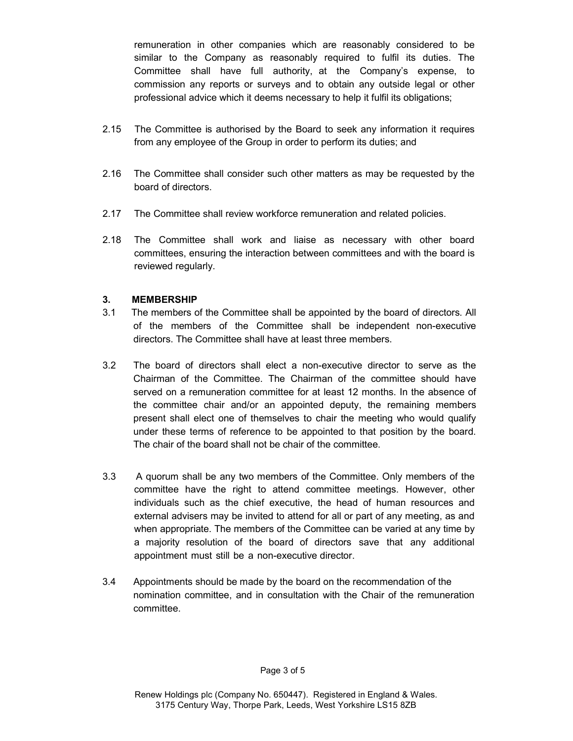remuneration in other companies which are reasonably considered to be similar to the Company as reasonably required to fulfil its duties. The Committee shall have full authority, at the Company's expense, to commission any reports or surveys and to obtain any outside legal or other professional advice which it deems necessary to help it fulfil its obligations;

- 2.15 The Committee is authorised by the Board to seek any information it requires from any employee of the Group in order to perform its duties; and
- 2.16 The Committee shall consider such other matters as may be requested by the board of directors.
- 2.17 The Committee shall review workforce remuneration and related policies.
- 2.18 The Committee shall work and liaise as necessary with other board committees, ensuring the interaction between committees and with the board is reviewed regularly.

#### 3. MEMBERSHIP

- 3.1 The members of the Committee shall be appointed by the board of directors. All of the members of the Committee shall be independent non-executive directors. The Committee shall have at least three members.
- 3.2 The board of directors shall elect a non-executive director to serve as the Chairman of the Committee. The Chairman of the committee should have served on a remuneration committee for at least 12 months. In the absence of the committee chair and/or an appointed deputy, the remaining members present shall elect one of themselves to chair the meeting who would qualify under these terms of reference to be appointed to that position by the board. The chair of the board shall not be chair of the committee.
- 3.3 A quorum shall be any two members of the Committee. Only members of the committee have the right to attend committee meetings. However, other individuals such as the chief executive, the head of human resources and external advisers may be invited to attend for all or part of any meeting, as and when appropriate. The members of the Committee can be varied at any time by a majority resolution of the board of directors save that any additional appointment must still be a non-executive director.
- 3.4 Appointments should be made by the board on the recommendation of the nomination committee, and in consultation with the Chair of the remuneration committee.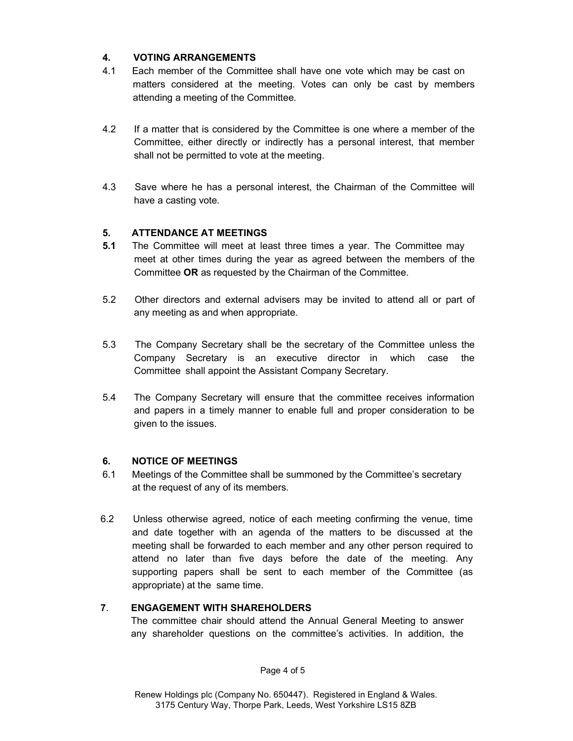## 4. VOTING ARRANGEMENTS

- 4.1 Each member of the Committee shall have one vote which may be cast on matters considered at the meeting. Votes can only be cast by members attending a meeting of the Committee.
- 4.2 If a matter that is considered by the Committee is one where a member of the Committee, either directly or indirectly has a personal interest, that member shall not be permitted to vote at the meeting.
- 4.3 Save where he has a personal interest, the Chairman of the Committee will have a casting vote.

## 5. ATTENDANCE AT MEETINGS

- **5.1** The Committee will meet at least three times a year. The Committee may meet at other times during the year as agreed between the members of the Committee OR as requested by the Chairman of the Committee.
- 5.2 Other directors and external advisers may be invited to attend all or part of any meeting as and when appropriate.
- 5.3 The Company Secretary shall be the secretary of the Committee unless the Company Secretary is an executive director in which case the Committee shall appoint the Assistant Company Secretary.
- 5.4 The Company Secretary will ensure that the committee receives information and papers in a timely manner to enable full and proper consideration to be given to the issues.

## 6. NOTICE OF MEETINGS

- 6.1 Meetings of the Committee shall be summoned by the Committee's secretary at the request of any of its members.
- 6.2 Unless otherwise agreed, notice of each meeting confirming the venue, time and date together with an agenda of the matters to be discussed at the meeting shall be forwarded to each member and any other person required to attend no later than five days before the date of the meeting. Any supporting papers shall be sent to each member of the Committee (as appropriate) at the same time.

## 7. ENGAGEMENT WITH SHAREHOLDERS

 The committee chair should attend the Annual General Meeting to answer any shareholder questions on the committee's activities. In addition, the